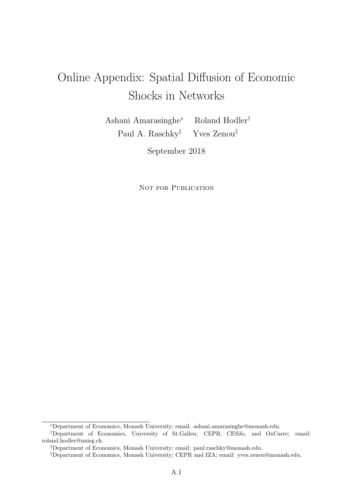# Online Appendix: Spatial Diffusion of Economic Shocks in Networks

Ashani Amarasinghe<sup>∗</sup> Roland Hodler† Paul A. Raschky<sup>‡</sup> Yves Zenou<sup>§</sup>

September 2018

NOT FOR PUBLICATION

<sup>∗</sup>Department of Economics, Monash University; email: ashani.amarasinghe@monash.edu.

<sup>†</sup>Department of Economics, University of St.Gallen; CEPR, CESifo, and OxCarre; email: roland.hodler@unisg.ch.

<sup>‡</sup>Department of Economics, Monash University; email: paul.raschky@monash.edu.

<sup>§</sup>Department of Economics, Monash University; CEPR and IZA; email: yves.zenou@monash.edu.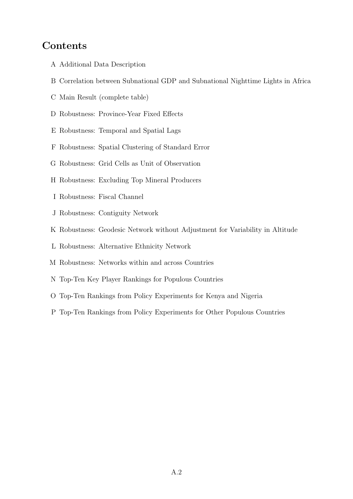### **Contents**

- A Additional Data Description
- B Correlation between Subnational GDP and Subnational Nighttime Lights in Africa
- C Main Result (complete table)
- D Robustness: Province-Year Fixed Effects
- E Robustness: Temporal and Spatial Lags
- F Robustness: Spatial Clustering of Standard Error
- G Robustness: Grid Cells as Unit of Observation
- H Robustness: Excluding Top Mineral Producers
- I Robustness: Fiscal Channel
- J Robustness: Contiguity Network
- K Robustness: Geodesic Network without Adjustment for Variability in Altitude
- L Robustness: Alternative Ethnicity Network
- M Robustness: Networks within and across Countries
- N Top-Ten Key Player Rankings for Populous Countries
- O Top-Ten Rankings from Policy Experiments for Kenya and Nigeria
- P Top-Ten Rankings from Policy Experiments for Other Populous Countries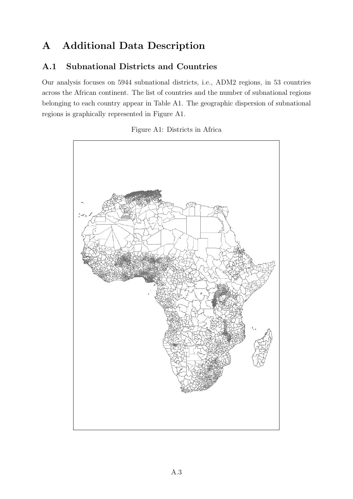# A Additional Data Description

#### A.1 Subnational Districts and Countries

Our analysis focuses on 5944 subnational districts, i.e., ADM2 regions, in 53 countries across the African continent. The list of countries and the number of subnational regions belonging to each country appear in Table A1. The geographic dispersion of subnational regions is graphically represented in Figure A1.

Figure A1: Districts in Africa

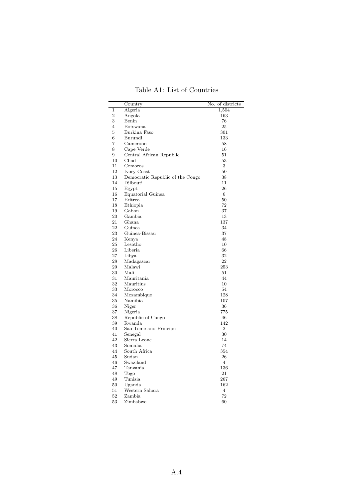| Table A1: List of Countries |  |  |
|-----------------------------|--|--|
|-----------------------------|--|--|

|                | Country                          | No. | of districts   |
|----------------|----------------------------------|-----|----------------|
| 1              | Algeria                          |     | 1,504          |
| $\overline{2}$ | Angola                           |     | 163            |
| 3              | Benin                            |     | 76             |
| 4              | Botswana                         |     | 25             |
| 5              | Burkina Faso                     |     | 301            |
| 6              | Burundi                          |     | 133            |
| 7              | Cameroon                         |     | 58             |
| 8              | Cape Verde                       |     | 16             |
| 9              | Central African Republic         |     | 51             |
| 10             | Chad                             |     | 53             |
| 11             | Comoros                          |     | 3              |
| 12             | Ivory Coast                      |     | 50             |
| 13             | Democratic Republic of the Congo |     | 38             |
| 14             | Djibouti                         |     | 11             |
| 15             | Egypt                            |     | 26             |
| 16             | Equatorial Guinea                |     | 6              |
| 17             | Eritrea                          |     | 50             |
| 18             | Ethiopia                         |     | 72             |
| 19             | Gabon                            |     | 37             |
| 20             | Gambia                           |     | 13             |
| 21             | Ghana                            |     | 137            |
| 22             | Guinea                           |     | 34             |
| 23             | Guinea-Bissau                    |     | 37             |
| 24             | Kenya                            |     | 48             |
| 25             | Lesotho                          |     | 10             |
| 26             | Liberia                          |     | 66             |
| 27             | Libya                            |     | 32             |
| 28             | Madagascar                       |     | 22             |
| 29             | Malawi                           |     | 253            |
| 30             | Mali                             |     | 51             |
| 31             | Mauritania                       |     | 44             |
| 32             | Mauritius                        |     | 10             |
| 33             | Morocco                          |     | 54             |
| 34             | Mozambique                       |     | 128            |
| 35             | Namibia                          |     | 107            |
| 36             | Niger                            |     | 36             |
| 37             | Nigeria                          |     | 775            |
| 38             | Republic of Congo                |     | 46             |
| 39             | Rwanda                           |     | 142            |
| 40             | Sao Tome and Principe            |     | $\overline{2}$ |
| 41             | Senegal                          |     | 30             |
| 42             | Sierra Leone                     |     | 14             |
| 43             | Somalia                          |     | 74             |
| 44             | South Africa                     |     | 354            |
| 45             | Sudan                            |     | 26             |
| 46             | Swaziland                        |     | 4              |
| 47             | Tanzania                         |     | 136            |
| 48             | Togo                             |     | 21             |
| 49             | Tunisia                          |     | 267            |
| 50             | Uganda                           |     | 162            |
| 51             | Western Sahara                   |     | $\overline{4}$ |
| 52             | Zambia                           |     | 72             |
| 53             | Zimbabwe                         |     | 60             |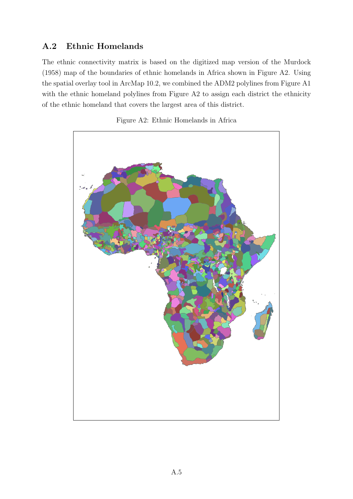### A.2 Ethnic Homelands

The ethnic connectivity matrix is based on the digitized map version of the Murdock (1958) map of the boundaries of ethnic homelands in Africa shown in Figure A2. Using the spatial overlay tool in ArcMap 10.2, we combined the ADM2 polylines from Figure A1 with the ethnic homeland polylines from Figure A2 to assign each district the ethnicity of the ethnic homeland that covers the largest area of this district.



Figure A2: Ethnic Homelands in Africa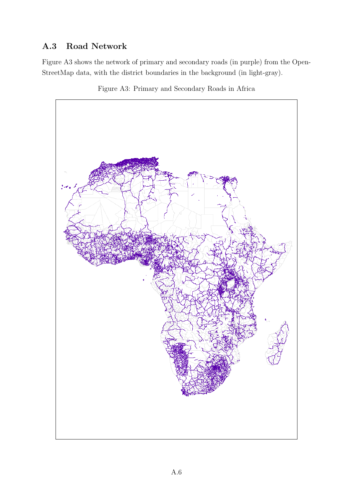### A.3 Road Network

Figure A3 shows the network of primary and secondary roads (in purple) from the Open-StreetMap data, with the district boundaries in the background (in light-gray).



Figure A3: Primary and Secondary Roads in Africa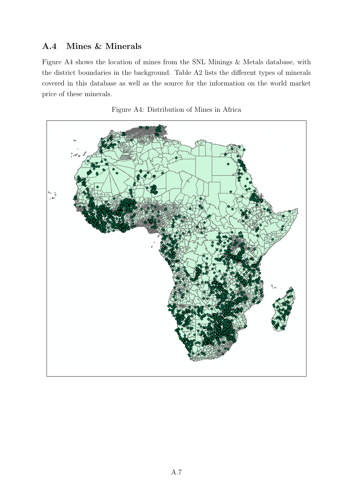#### A.4 Mines & Minerals

Figure A4 shows the location of mines from the SNL Minings & Metals database, with the district boundaries in the background. Table A2 lists the different types of minerals covered in this database as well as the source for the information on the world market price of these minerals.



Figure A4: Distribution of Mines in Africa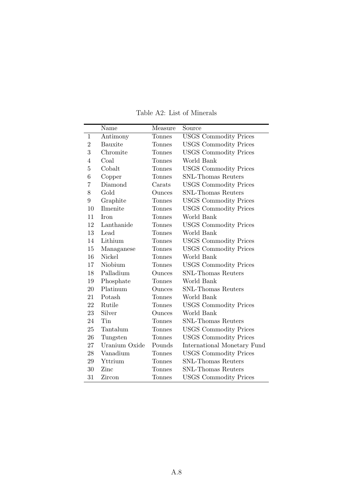|                | Name          | Measure       | Source                       |
|----------------|---------------|---------------|------------------------------|
| $\mathbf{1}$   | Antimony      | <b>Tonnes</b> | <b>USGS</b> Commodity Prices |
| $\overline{2}$ | Bauxite       | Tonnes        | <b>USGS Commodity Prices</b> |
| 3              | Chromite      | Tonnes        | <b>USGS Commodity Prices</b> |
| 4              | Coal          | Tonnes        | World Bank                   |
| 5              | Cobalt        | Tonnes        | <b>USGS</b> Commodity Prices |
| 6              | Copper        | Tonnes        | <b>SNL-Thomas Reuters</b>    |
| 7              | Diamond       | Carats        | <b>USGS Commodity Prices</b> |
| 8              | Gold          | Ounces        | <b>SNL-Thomas Reuters</b>    |
| 9              | Graphite      | Tonnes        | <b>USGS Commodity Prices</b> |
| 10             | Ilmenite      | Tonnes        | <b>USGS</b> Commodity Prices |
| 11             | <b>Iron</b>   | <b>Tonnes</b> | World Bank                   |
| 12             | Lanthanide    | Tonnes        | <b>USGS</b> Commodity Prices |
| 13             | Lead          | Tonnes        | World Bank                   |
| 14             | Lithium       | Tonnes        | <b>USGS Commodity Prices</b> |
| 15             | Managanese    | Tonnes        | <b>USGS Commodity Prices</b> |
| 16             | Nickel        | Tonnes        | World Bank                   |
| 17             | Niobium       | Tonnes        | <b>USGS</b> Commodity Prices |
| 18             | Palladium     | Ounces        | <b>SNL-Thomas Reuters</b>    |
| 19             | Phosphate     | Tonnes        | World Bank                   |
| 20             | Platinum      | Ounces        | <b>SNL-Thomas Reuters</b>    |
| 21             | Potash        | <b>Tonnes</b> | World Bank                   |
| 22             | Rutile        | Tonnes        | <b>USGS</b> Commodity Prices |
| 23             | Silver        | Ounces        | World Bank                   |
| 24             | Tin           | Tonnes        | <b>SNL-Thomas Reuters</b>    |
| 25             | Tantalum      | Tonnes        | <b>USGS Commodity Prices</b> |
| 26             | Tungsten      | Tonnes        | <b>USGS Commodity Prices</b> |
| 27             | Uranium Oxide | Pounds        | International Monetary Fund  |
| 28             | Vanadium      | <b>Tonnes</b> | <b>USGS Commodity Prices</b> |
| 29             | Yttrium       | Tonnes        | <b>SNL-Thomas Reuters</b>    |
| 30             | Zinc          | Tonnes        | SNL-Thomas Reuters           |
| 31             | Zircon        | <b>Tonnes</b> | <b>USGS Commodity Prices</b> |

Table A2: List of Minerals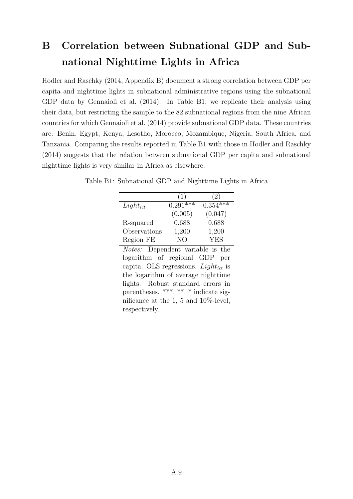# B Correlation between Subnational GDP and Subnational Nighttime Lights in Africa

Hodler and Raschky (2014, Appendix B) document a strong correlation between GDP per capita and nighttime lights in subnational administrative regions using the subnational GDP data by Gennaioli et al. (2014). In Table B1, we replicate their analysis using their data, but restricting the sample to the 82 subnational regions from the nine African countries for which Gennaioli et al. (2014) provide subnational GDP data. These countries are: Benin, Egypt, Kenya, Lesotho, Morocco, Mozambique, Nigeria, South Africa, and Tanzania. Comparing the results reported in Table B1 with those in Hodler and Raschky (2014) suggests that the relation between subnational GDP per capita and subnational nighttime lights is very similar in Africa as elsewhere.

|               | (1)        | $\mathbf{z}$ |
|---------------|------------|--------------|
| $Light_{ict}$ | $0.291***$ | $0.354***$   |
|               | (0.005)    | (0.047)      |
| R-squared     | 0.688      | 0.688        |
| Observations  | 1,200      | 1,200        |
| Region FE     | NΩ         | YES          |

Table B1: Subnational GDP and Nighttime Lights in Africa

Notes: Dependent variable is the logarithm of regional GDP per capita. OLS regressions. Light<sub>ict</sub> is the logarithm of average nighttime lights. Robust standard errors in parentheses. \*\*\*, \*\*, \* indicate significance at the 1, 5 and 10%-level, respectively.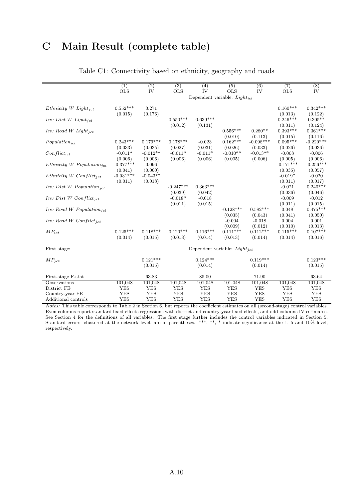## C Main Result (complete table)

|                                        | (1)                    | $\overline{2}$        | (3)                  | (4)                  | (5)                               | (6)                   | (7)                    | (8)                    |
|----------------------------------------|------------------------|-----------------------|----------------------|----------------------|-----------------------------------|-----------------------|------------------------|------------------------|
|                                        | <b>OLS</b>             | IV                    | <b>OLS</b>           | IV                   | <b>OLS</b>                        | IV                    | <b>OLS</b>             | IV                     |
|                                        |                        |                       |                      |                      | Dependent variable: Lightict      |                       |                        |                        |
|                                        |                        |                       |                      |                      |                                   |                       |                        |                        |
| Ethnicity W Light <sub>ict</sub>       | $0.552***$             | 0.271                 |                      |                      |                                   |                       | $0.160***$             | $0.342***$             |
|                                        | (0.015)                | (0.176)               |                      |                      |                                   |                       | (0.013)                | (0.122)                |
| $Inv\ Dist\ W\ Light_{ict}$            |                        |                       | $0.550***$           | $0.639***$           |                                   |                       | $0.246***$             | $0.305**$              |
|                                        |                        |                       | (0.012)              | (0.131)              |                                   |                       | (0.011)                | (0.124)                |
| $Inv$ Road W Light <sub>ict</sub>      |                        |                       |                      |                      | $0.556***$                        | $0.280**$             | $0.393***$             | $0.361***$             |
|                                        |                        |                       |                      |                      | (0.010)                           | (0.113)               | (0.015)                | (0.116)                |
| $Population_{ict}$                     | $0.243***$             | $0.179***$            | $0.178***$           | $-0.023$             | $0.162***$                        | $-0.098***$           | $0.095***$             | $-0.220***$            |
|                                        | (0.033)<br>$-0.011*$   | (0.035)<br>$-0.012**$ | (0.027)<br>$-0.011*$ | (0.031)<br>$-0.011*$ | (0.026)<br>$-0.010**$             | (0.033)<br>$-0.013**$ | (0.026)                | (0.036)                |
| $Conflict_{ict}$                       |                        |                       |                      |                      |                                   |                       | $-0.008$               | $-0.006$               |
|                                        | (0.006)<br>$-0.377***$ | (0.006)               | (0.006)              | (0.006)              | (0.005)                           | (0.006)               | (0.005)<br>$-0.171***$ | (0.006)<br>$-0.256***$ |
| Ethnicity W Population <sub>jct</sub>  | (0.041)                | 0.096<br>(0.060)      |                      |                      |                                   |                       |                        |                        |
|                                        | $-0.031***$            | $-0.043**$            |                      |                      |                                   |                       | (0.035)<br>$-0.019*$   | (0.057)<br>$-0.020$    |
| Ethnicity W Conflict <sub>ict</sub>    | (0.011)                | (0.018)               |                      |                      |                                   |                       | (0.011)                | (0.017)                |
|                                        |                        |                       | $-0.247***$          | $0.363***$           |                                   |                       | $-0.021$               | $0.240***$             |
| $Inv\ Dist\ W\ Population_{ict}$       |                        |                       | (0.039)              | (0.042)              |                                   |                       | (0.036)                | (0.046)                |
| $Inv\ Dist\ W\ Conflict_{ict}$         |                        |                       | $-0.018*$            | $-0.018$             |                                   |                       | $-0.009$               | $-0.012$               |
|                                        |                        |                       | (0.011)              | (0.015)              |                                   |                       | (0.011)                | (0.015)                |
| $Inv$ Road W Population <sub>ict</sub> |                        |                       |                      |                      | $-0.128***$                       | $0.582***$            | 0.048                  | $0.475***$             |
|                                        |                        |                       |                      |                      | (0.035)                           | (0.043)               | (0.041)                | (0.050)                |
| $Inv$ Road W Conflict <sub>ict</sub>   |                        |                       |                      |                      | $-0.004$                          | $-0.018$              | 0.004                  | 0.001                  |
|                                        |                        |                       |                      |                      | (0.009)                           | (0.012)               | (0.010)                | (0.013)                |
| $MP_{ict}$                             | $0.125***$             | $0.118***$            | $0.120***$           | $0.116***$           | $0.111***$                        | $0.112***$            | $0.115***$             | $0.107***$             |
|                                        | (0.014)                | (0.015)               | (0.013)              | (0.014)              | (0.013)                           | (0.014)               | (0.014)                | (0.016)                |
|                                        |                        |                       |                      |                      |                                   |                       |                        |                        |
| First stage:                           |                        |                       |                      |                      | Dependent variable: $Light_{ict}$ |                       |                        |                        |
|                                        |                        |                       |                      |                      |                                   |                       |                        |                        |
| $MP_{ict}$                             |                        | $0.121***$            |                      | $0.124***$           |                                   | $0.119***$            |                        | $0.123***$             |
|                                        |                        | (0.015)               |                      | (0.014)              |                                   | (0.014)               |                        | (0.015)                |
|                                        |                        |                       |                      |                      |                                   |                       |                        |                        |
| First-stage F-stat                     |                        | 63.83                 |                      | 85.00                |                                   | 71.90                 |                        | 63.64                  |
| Observations                           | 101,048                | 101,048               | 101,048              | 101,048              | 101,048                           | 101,048               | 101,048                | 101,048                |
| District FE                            | <b>YES</b>             | <b>YES</b>            | <b>YES</b>           | <b>YES</b>           | <b>YES</b>                        | <b>YES</b>            | <b>YES</b>             | <b>YES</b>             |
| Country-year FE                        | <b>YES</b>             | <b>YES</b>            | <b>YES</b>           | <b>YES</b>           | <b>YES</b>                        | <b>YES</b>            | <b>YES</b>             | <b>YES</b>             |
| Additional controls                    | <b>YES</b>             | <b>YES</b>            | <b>YES</b>           | <b>YES</b>           | <b>YES</b>                        | <b>YES</b>            | <b>YES</b>             | <b>YES</b>             |

#### Table C1: Connectivity based on ethnicity, geography and roads

Notes: This table corresponds to Table 2 in Section 6, but reports the coefficient estimates on all (second-stage) control variables. Even columns report standard fixed effects regressions with district and country-year fixed effects, and odd columns IV estimates. See Section 4 for the definitions of all variables. The first stage further includes the control variables indicated in Section 5. Standard errors, clustered at the network level, are in parentheses. \*\*\*, \*\*, \* indicate significance at the 1, 5 and 10% level, respectively.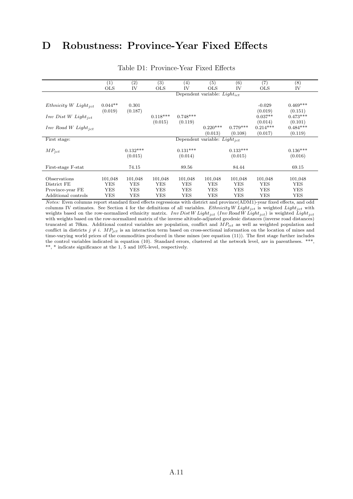## D Robustness: Province-Year Fixed Effects

|                                  | $\left( 1\right)$ | (2)        | (3)        | $^{(4)}$   | (5)                               | (6)        | (7)        | (8)        |
|----------------------------------|-------------------|------------|------------|------------|-----------------------------------|------------|------------|------------|
|                                  | <b>OLS</b>        | IV         | <b>OLS</b> | IV         | <b>OLS</b>                        | IV         | <b>OLS</b> | IV         |
|                                  |                   |            |            |            | Dependent variable: $Light_{ict}$ |            |            |            |
|                                  |                   |            |            |            |                                   |            |            |            |
| Ethnicity W Light <sub>ict</sub> | $0.044**$         | 0.301      |            |            |                                   |            | $-0.029$   | $0.469***$ |
|                                  | (0.019)           | (0.187)    |            |            |                                   |            | (0.019)    | (0.151)    |
| $Inv\ Dist\ W\ Light_{ict}$      |                   |            | $0.118***$ | $0.748***$ |                                   |            | $0.037**$  | $0.473***$ |
|                                  |                   |            | (0.015)    | (0.119)    |                                   |            | (0.014)    | (0.101)    |
| $Inv$ Road W $Light_{jet}$       |                   |            |            |            | $0.220***$                        | $0.779***$ | $0.214***$ | $0.484***$ |
|                                  |                   |            |            |            | (0.013)                           | (0.108)    | (0.017)    | (0.119)    |
| First stage:                     |                   |            |            |            | Dependent variable: $Light_{ict}$ |            |            |            |
|                                  |                   |            |            |            |                                   |            |            |            |
| $MP_{ict}$                       |                   | $0.132***$ |            | $0.131***$ |                                   | $0.133***$ |            | $0.136***$ |
|                                  |                   | (0.015)    |            | (0.014)    |                                   | (0.015)    |            | (0.016)    |
|                                  |                   |            |            |            |                                   |            |            |            |
| First-stage F-stat               |                   | 74.15      |            | 89.56      |                                   | 84.44      |            | 69.15      |
|                                  |                   |            |            |            |                                   |            |            |            |
| Observations                     | 101,048           | 101,048    | 101,048    | 101,048    | 101,048                           | 101,048    | 101,048    | 101,048    |
| District FE                      | YES               | YES        | <b>YES</b> | YES        | <b>YES</b>                        | <b>YES</b> | <b>YES</b> | YES        |
| Province-year FE                 | YES               | YES        | <b>YES</b> | YES        | <b>YES</b>                        | <b>YES</b> | <b>YES</b> | YES        |
| Additional controls              | YES               | YES        | YES        | YES        | YES                               | YES        | YES        | YES        |

#### Table D1: Province-Year Fixed Effects

Notes: Even columns report standard fixed effects regressions with district and province(ADM1)-year fixed effects, and odd columns IV estimates. See Section 4 for the definitions of all variables. Ethnicity W Light<sub>jct</sub> is weighted Light<sub>jct</sub> with weights based on the row-normalized ethnicity matrix. Inv Dist W Light<sub>jct</sub> (Inv Road W Light<sub>jct</sub>) is weighted Light<sub>jct</sub> with weights based on the row-normalized matrix of the inverse altitude-adjusted geodesic distances (inverse road distances) truncated at 70km. Additional control variables are population, conflict and  $\overline{MP}_{ict}$  as well as weighted population and conflict in districts  $j \neq i$ .  $MP_{jet}$  is an interaction term based on cross-sectional information on the location of mines and time-varying world prices of the commodities produced in these mines (see equation (11)). The first stage further includes the control variables indicated in equation (10). Standard errors, clustered at the network level, are in parentheses. \*\*\*,  $^{\ast\ast},$   $^{\ast}$  indicate significance at the 1, 5 and 10%-level, respectively.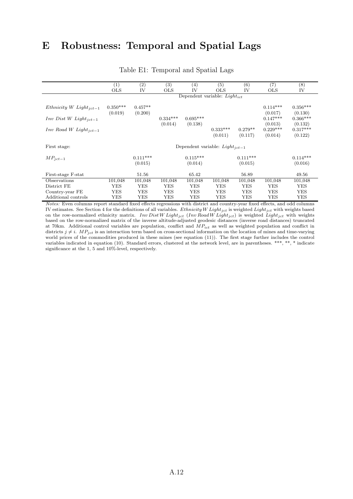## E Robustness: Temporal and Spatial Lags

|                               | (1)        | $\left( 2\right)$                 | (3)        | $\left(4\right)$                    | (5)        | (6)        | (7)        | $^{(8)}$   |  |
|-------------------------------|------------|-----------------------------------|------------|-------------------------------------|------------|------------|------------|------------|--|
|                               | <b>OLS</b> | IV                                | <b>OLS</b> | IV                                  | <b>OLS</b> | IV         | <b>OLS</b> | IV         |  |
|                               |            | Dependent variable: $Light_{ict}$ |            |                                     |            |            |            |            |  |
|                               |            |                                   |            |                                     |            |            |            |            |  |
| Ethnicity W Light $_{ict-1}$  | $0.350***$ | $0.457**$                         |            |                                     |            |            | $0.114***$ | $0.356***$ |  |
|                               | (0.019)    | (0.200)                           |            |                                     |            |            | (0.017)    | (0.130)    |  |
| $Inv\ Dist\ W\ Light_{ict-1}$ |            |                                   | $0.334***$ | $0.695***$                          |            |            | $0.147***$ | $0.366***$ |  |
|                               |            |                                   | (0.014)    | (0.138)                             |            |            | (0.013)    | (0.132)    |  |
| $Inv$ Road W Light $_{ict-1}$ |            |                                   |            |                                     | $0.333***$ | $0.279**$  | $0.229***$ | $0.317***$ |  |
|                               |            |                                   |            |                                     | (0.011)    | (0.117)    | (0.014)    | (0.122)    |  |
|                               |            |                                   |            |                                     |            |            |            |            |  |
| First stage:                  |            |                                   |            | Dependent variable: $Light_{ict-1}$ |            |            |            |            |  |
|                               |            | $0.111***$                        |            | $0.115***$                          |            | $0.111***$ |            | $0.114***$ |  |
| $MP_{ict-1}$                  |            |                                   |            |                                     |            |            |            |            |  |
|                               |            | (0.015)                           |            | (0.014)                             |            | (0.015)    |            | (0.016)    |  |
| First-stage F-stat            |            | 51.56                             |            | 65.42                               |            | 56.89      |            | 49.56      |  |
| Observations                  | 101,048    | 101,048                           | 101,048    | 101,048                             | 101,048    | 101,048    | 101,048    | 101,048    |  |
| District FE                   | <b>YES</b> | YES                               | <b>YES</b> | <b>YES</b>                          | <b>YES</b> | YES        | <b>YES</b> | <b>YES</b> |  |
| Country-year FE               | <b>YES</b> | <b>YES</b>                        | <b>YES</b> | <b>YES</b>                          | <b>YES</b> | YES        | <b>YES</b> | <b>YES</b> |  |
| Additional controls           | YES        | YES                               | YES        | YES                                 | YES        | YES        | YES        | <b>YES</b> |  |

#### Table E1: Temporal and Spatial Lags

Notes: Even columns report standard fixed effects regressions with district and country-year fixed effects, and odd columns IV estimates. See Section 4 for the definitions of all variables. Ethnicity W Light<sub>ict</sub> is weighted Light<sub>ict</sub> with weights based on the row-normalized ethnicity matrix. Inv Dist W Light<sub>jct</sub> (Inv Road W Light<sub>jct</sub>) is weighted Light<sub>jct</sub> with weights based on the row-normalized matrix of the inverse altitude-adjusted geodesic distances (inverse road distances) truncated at 70km. Additional control variables are population, conflict and  $\overline{M}P_{ict}$  as well as weighted population and conflict in districts  $j \neq i$ .  $MP_{jet}$  is an interaction term based on cross-sectional information on the location of mines and time-varying world prices of the commodities produced in these mines (see equation (11)). The first stage further includes the control variables indicated in equation (10). Standard errors, clustered at the network level, are in parentheses. \*\*\*, \*\*, \* indicate significance at the 1, 5 and 10%-level, respectively.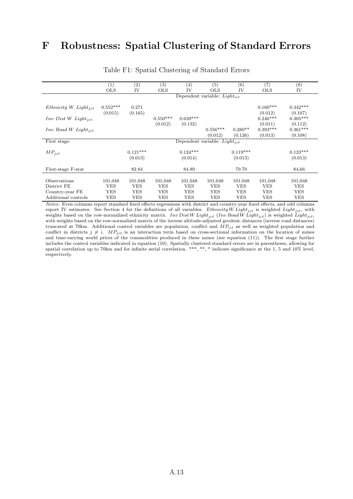## F Robustness: Spatial Clustering of Standard Errors

|                                   | (1)                   | $\left( 2\right)$     | (3)        | $\left( 4\right)$     | (5)                               | (6)                   | (7)                              | (8)                              |
|-----------------------------------|-----------------------|-----------------------|------------|-----------------------|-----------------------------------|-----------------------|----------------------------------|----------------------------------|
|                                   | <b>OLS</b>            | IV                    | <b>OLS</b> | IV                    | <b>OLS</b>                        | IV                    | <b>OLS</b>                       | IV                               |
|                                   |                       |                       |            |                       | Dependent variable: $Light_{ict}$ |                       |                                  |                                  |
| Ethnicity W Light <sub>ict</sub>  | $0.552***$<br>(0.015) | 0.271<br>(0.165)      |            |                       |                                   |                       | $0.160***$<br>(0.012)            | $0.342***$<br>(0.107)            |
| $Inv\ Dist\ W\ Light_{ict}$       |                       |                       | $0.550***$ | $0.639***$            |                                   |                       | $0.246***$                       | $0.305***$                       |
| $Inv$ Road W Light <sub>ict</sub> |                       |                       | (0.012)    | (0.132)               | $0.556***$<br>(0.012)             | $0.280**$<br>(0.126)  | (0.011)<br>$0.393***$<br>(0.013) | (0.112)<br>$0.361***$<br>(0.108) |
| First stage:                      |                       |                       |            |                       | Dependent variable: $Light_{ict}$ |                       |                                  |                                  |
| $MP_{ict}$                        |                       | $0.121***$<br>(0.013) |            | $0.124***$<br>(0.014) |                                   | $0.119***$<br>(0.013) |                                  | $0.123***$<br>(0.013)            |
| First-stage F-stat                |                       | 82.84                 |            | 84.89                 |                                   | 79.70                 |                                  | 84.66                            |
| Observations                      | 101,048               | 101,048               | 101,048    | 101,048               | 101,048                           | 101,048               | 101,048                          | 101,048                          |
| District FE                       | <b>YES</b>            | <b>YES</b>            | YES        | <b>YES</b>            | <b>YES</b>                        | YES                   | <b>YES</b>                       | <b>YES</b>                       |
| Country-year FE                   | YES                   | <b>YES</b>            | YES        | <b>YES</b>            | <b>YES</b>                        | <b>YES</b>            | <b>YES</b>                       | <b>YES</b>                       |
| Additional controls               | YES                   | YES                   | YES        | YES                   | YES                               | YES                   | YES                              | <b>YES</b>                       |

Table F1: Spatial Clustering of Standard Errors

Notes: Even columns report standard fixed effects regressions with district and country-year fixed effects, and odd columns report IV estimates. See Section 4 for the definitions of all variables. Ethnicity W Light<sub>ict</sub> is weighted Light<sub>ict</sub>, with weights based on the row-normalized ethnicity matrix. Inv Dist W Light<sub>jct</sub> (Inv Road W Light<sub>jct</sub>) is weighted Light<sub>jct</sub>, with weights based on the row-normalized matrix of the inverse altitude-adjusted geodesic distances (inverse road distances) truncated at 70km. Additional control variables are population, conflict and  $\overrightarrow{MP}_{ict}$  as well as weighted population and conflict in districts  $j \neq i$ .  $MP_{jet}$  is an interaction term based on cross-sectional information on the location of mines and time-varying world prices of the commodities produced in these mines (see equation (11)). The first stage further includes the control variables indicated in equation (10). Spatially clustered standard errors are in parentheses, allowing for spatial correlation up to 70km and for infinite serial correlation. \*\*\*, \*\*, \* indicate significance at the 1, 5 and 10% level, respectively.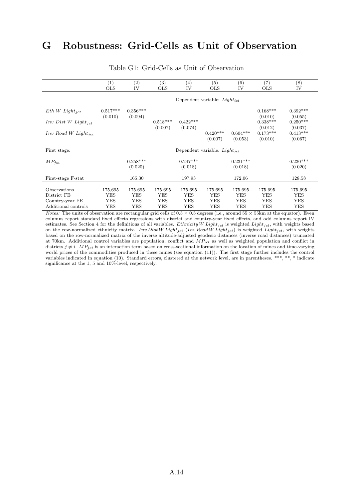## G Robustness: Grid-Cells as Unit of Observation

|                             | (1)<br><b>OLS</b>                 | (2)<br>IV             | (3)<br><b>OLS</b>     | (4)<br>IV                         | (5)<br><b>OLS</b>     | (6)<br>IV             | (7)<br><b>OLS</b>         | $\overline{(8)}$<br>IV    |  |
|-----------------------------|-----------------------------------|-----------------------|-----------------------|-----------------------------------|-----------------------|-----------------------|---------------------------|---------------------------|--|
|                             | Dependent variable: $Light_{ict}$ |                       |                       |                                   |                       |                       |                           |                           |  |
| $Eth W Light_{ict}$         | $0.517***$                        | $0.356***$            |                       |                                   |                       |                       | $0.168***$                | $0.392***$                |  |
| $Inv\ Dist\ W\ Light_{ict}$ |                                   |                       | $0.518***$            | $0.422***$                        |                       |                       | $0.338***$                | $0.250***$                |  |
| $Inv$ Road W $Light_{ict}$  |                                   |                       |                       |                                   | $0.420***$<br>(0.007) | $0.604***$<br>(0.053) | $0.173***$<br>(0.010)     | $0.413***$<br>(0.067)     |  |
| First stage:                |                                   |                       |                       | Dependent variable: $Light_{ict}$ |                       |                       |                           |                           |  |
| $MP_{ict}$                  |                                   | $0.258***$<br>(0.020) |                       | $0.247***$<br>(0.018)             |                       | $0.231***$<br>(0.018) |                           | $0.230***$<br>(0.020)     |  |
| First-stage F-stat          |                                   | 165.30                |                       | 197.93                            |                       | 172.06                |                           | 128.58                    |  |
| Observations<br>District FE | 175,695<br><b>YES</b>             | 175,695<br><b>YES</b> | 175,695<br><b>YES</b> | 175,695<br><b>YES</b>             | 175,695<br><b>YES</b> | 175,695<br>YES        | 175,695<br><b>YES</b>     | 175,695<br><b>YES</b>     |  |
| Country-year FE             | YES                               | <b>YES</b>            | <b>YES</b>            | <b>YES</b>                        | <b>YES</b>            | YES                   | YES                       | YES                       |  |
| Additional controls         | (0.010)<br>YES                    | (0.094)<br>YES        | (0.007)<br>YES        | (0.074)<br>YES                    | <b>YES</b>            | YES                   | (0.010)<br>(0.012)<br>YES | (0.055)<br>(0.037)<br>YES |  |

#### Table G1: Grid-Cells as Unit of Observation

*Notes:* The units of observation are rectangular grid cells of  $0.5 \times 0.5$  degrees (i.e., around  $55 \times 55$ km at the equator). Even columns report standard fixed effects regressions with district and country-year fixed effects, and odd columns report IV estimates. See Section 4 for the definitions of all variables. Ethnicity W Light<sub>jct</sub> is weighted Light<sub>jct</sub>, with weights based on the row-normalized ethnicity matrix. Inv Dist W Light<sub>jct</sub> (Inv Road W Light<sub>jct</sub>) is weighted Light<sub>jct</sub>, with weights based on the row-normalized matrix of the inverse altitude-adjusted geodesic distances (inverse road distances) truncated at 70km. Additional control variables are population, conflict and  $\dot{M}P_{ict}$  as well as weighted population and conflict in districts  $j \neq i$ .  $MP_{ict}$  is an interaction term based on cross-sectional information on the location of mines and time-varying world prices of the commodities produced in these mines (see equation (11)). The first stage further includes the control variables indicated in equation (10). Standard errors, clustered at the network level, are in parentheses. \*\*\*, \*\*, \* indicate significance at the 1, 5 and 10%-level, respectively.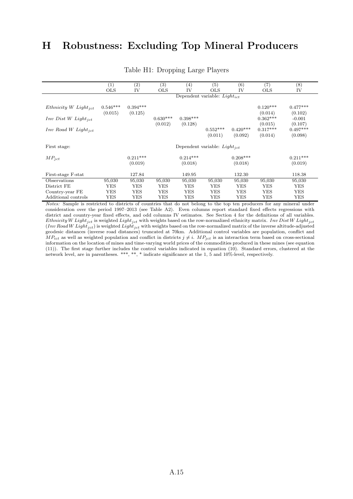## H Robustness: Excluding Top Mineral Producers

|                                   | (1)                   | (2)                   | (3)        | $\left( 4\right)$                 | (5)                   | (6)                   | (7)                              | $^{(8)}$                         |
|-----------------------------------|-----------------------|-----------------------|------------|-----------------------------------|-----------------------|-----------------------|----------------------------------|----------------------------------|
|                                   | <b>OLS</b>            | IV                    | <b>OLS</b> | IV                                | <b>OLS</b>            | IV                    | <b>OLS</b>                       | IV                               |
|                                   |                       |                       |            | Dependent variable: $Light_{ict}$ |                       |                       |                                  |                                  |
| Ethnicity W Light <sub>ict</sub>  | $0.546***$<br>(0.015) | $0.394***$<br>(0.125) |            |                                   |                       |                       | $0.120***$<br>(0.014)            | $0.477***$<br>(0.102)            |
| $Inv\ Dist\ W\ Light_{ict}$       |                       |                       | $0.630***$ | $0.398***$                        |                       |                       | $0.362***$                       | $-0.001$                         |
| $Inv$ Road W Light <sub>ict</sub> |                       |                       | (0.012)    | (0.128)                           | $0.552***$<br>(0.011) | $0.420***$<br>(0.092) | (0.015)<br>$0.317***$<br>(0.014) | (0.107)<br>$0.497***$<br>(0.098) |
| First stage:                      |                       |                       |            | Dependent variable: $Light_{ict}$ |                       |                       |                                  |                                  |
| $MP_{ict}$                        |                       | $0.211***$            |            | $0.214***$                        |                       | $0.208***$            |                                  | $0.211***$                       |
|                                   |                       | (0.019)               |            | (0.018)                           |                       | (0.018)               |                                  | (0.019)                          |
| First-stage F-stat                |                       | 127.84                |            | 149.95                            |                       | 132.30                |                                  | 118.38                           |
| Observations                      | 95,030                | 95,030                | 95,030     | 95,030                            | 95,030                | 95,030                | 95,030                           | 95,030                           |
| District FE                       | YES                   | <b>YES</b>            | YES        | <b>YES</b>                        | YES                   | <b>YES</b>            | YES                              | <b>YES</b>                       |
| Country-year FE                   | YES                   | <b>YES</b>            | YES        | <b>YES</b>                        | YES                   | <b>YES</b>            | YES                              | <b>YES</b>                       |
| Additional controls               | YES                   | YES                   | YES        | YES                               | YES                   | YES                   | YES                              | <b>YES</b>                       |

#### Table H1: Dropping Large Players

Notes: Sample is restricted to districts of countries that do not belong to the top ten producers for any mineral under consideration over the period 1997–2013 (see Table A2). Even columns report standard fixed effects regressions with district and country-year fixed effects, and odd columns IV estimates. See Section 4 for the definitions of all variables. Ethnicity W Light<sub>ict</sub> is weighted Light<sub>ict</sub> with weights based on the row-normalized ethnicity matrix. Inv Dist W Light<sub>ict</sub> (Inv Road W Light<sub>jct</sub>) is weighted Light<sub>jct</sub> with weights based on the row-normalized matrix of the inverse altitude-adjusted geodesic distances (inverse road distances) truncated at 70km. Additional control variables are population, conflict and  $MP_{ict}$  as well as weighted population and conflict in districts  $j \neq i$ .  $MP_{ict}$  is an interaction term based on cross-sectional information on the location of mines and time-varying world prices of the commodities produced in these mines (see equation (11)). The first stage further includes the control variables indicated in equation (10). Standard errors, clustered at the network level, are in parentheses. \*\*\*, \*\*, \* indicate significance at the 1, 5 and 10%-level, respectively.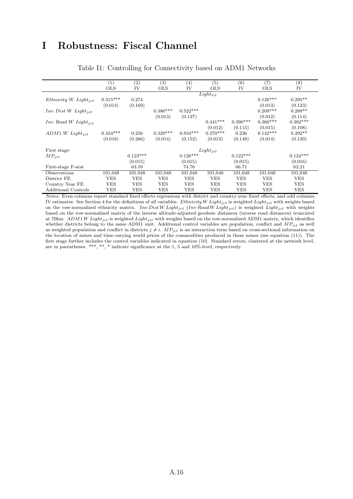### I Robustness: Fiscal Channel

|                                  | (1)        | (2)        | (3)        | $\left( 4\right)$ | (5)           | (6)        | (7)        | (8)        |
|----------------------------------|------------|------------|------------|-------------------|---------------|------------|------------|------------|
|                                  | <b>OLS</b> | IV         | <b>OLS</b> | IV                | <b>OLS</b>    | IV         | <b>OLS</b> | IV         |
|                                  |            |            |            |                   | $Light_{ict}$ |            |            |            |
| Ethnicity W Light <sub>ict</sub> | $0.315***$ | 0.274      |            |                   |               |            | $0.126***$ | $0.295**$  |
|                                  | (0.014)    | (0.169)    |            |                   |               |            | (0.013)    | (0.123)    |
| $Inv\ Dist\ W\ Light_{ict}$      |            |            | $0.386***$ | $0.522***$        |               |            | $0.209***$ | $0.288**$  |
|                                  |            |            | (0.013)    | (0.127)           |               |            | (0.012)    | (0.114)    |
| $Inv$ Road W $Light_{jet}$       |            |            |            |                   | $0.441***$    | $0.396***$ | $0.360***$ | $0.382***$ |
|                                  |            |            |            |                   | (0.012)       | (0.115)    | (0.015)    | (0.108)    |
| $ADM1~W$ Light <sub>jct</sub>    | $0.434***$ | 0.256      | $0.329***$ | $0.834***$        | $0.270***$    | 0.236      | $0.142***$ | $0.292**$  |
|                                  | (0.018)    | (0.266)    | (0.014)    | (0.152)           | (0.013)       | (0.148)    | (0.014)    | (0.130)    |
| First stage:                     |            |            |            |                   | $Light_{ict}$ |            |            |            |
| $MP_{ict}$                       |            | $0.123***$ |            | $0.126***$        |               | $0.122***$ |            | $0.124***$ |
|                                  |            |            |            |                   |               |            |            |            |
|                                  |            | (0.015)    |            | (0.015)           |               | (0.015)    |            | (0.016)    |
| First-stage F-stat               |            | 63.59      |            | 74.76             |               | 66.71      |            | 62.21      |
| Observations                     | 101,048    | 101,048    | 101,048    | 101,048           | 101,048       | 101,048    | 101,048    | 101,048    |
| District FE                      | <b>YES</b> | <b>YES</b> | <b>YES</b> | YES               | YES           | YES        | YES        | <b>YES</b> |
| Country Year FE                  | YES        | <b>YES</b> | YES        | YES               | YES           | YES        | <b>YES</b> | YES        |
| <b>Additional Controls</b>       | YES        | YES        | YES        | YES               | YES           | YES        | YES        | YES        |

Table I1: Controlling for Connectivity based on ADM1 Networks

Notes: Even columns report standard fixed effects regressions with district and country-year fixed effects, and odd columns IV estimates. See Section 4 for the definitions of all variables. Ethnicity W Light<sub>jct</sub> is weighted Light<sub>jct</sub> with weights based on the row-normalized ethnicity matrix. Inv Dist W Light<sub>ict</sub> (Inv Road W Light<sub>ict</sub>) is weighted Light<sub>ict</sub> with weights based on the row-normalized matrix of the inverse altitude-adjusted geodesic distances (inverse road distances) truncated at 70km.  $ADM1$  W Light<sub>jct</sub> is weighted Light<sub>jct</sub> with weights based on the row-normalized ADM1 matrix, which identifies whether districts belong to the same ADM1 unit. Additional control variables are population, conflict and  $MP_{ict}$  as well as weighted population and conflict in districts  $j \neq i$ .  $MP_{jet}$  is an interaction term based on cross-sectional information on the location of mines and time-varying world prices of the commodities produced in these mines (see equation (11)). The first stage further includes the control variables indicated in equation (10). Standard errors, clustered at the network level, are in parentheses. \*\*\*, \*\*, \* indicate significance at the 1, 5 and 10%-level, respectively.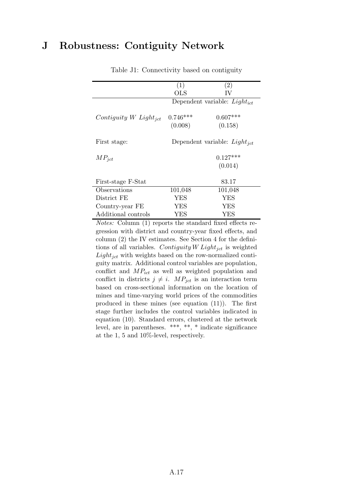## J Robustness: Contiguity Network

|                                   | (1)                               | (2)                                      |  |  |  |  |
|-----------------------------------|-----------------------------------|------------------------------------------|--|--|--|--|
|                                   | $_{\rm OLS}$                      | IV                                       |  |  |  |  |
|                                   |                                   | Dependent variable: Light <sub>ict</sub> |  |  |  |  |
|                                   |                                   |                                          |  |  |  |  |
| Contiguity W Light <sub>ict</sub> | $0.746***$                        | $0.607***$                               |  |  |  |  |
|                                   | (0.008)                           | (0.158)                                  |  |  |  |  |
|                                   |                                   |                                          |  |  |  |  |
| First stage:                      | Dependent variable: $Light_{ict}$ |                                          |  |  |  |  |
|                                   |                                   |                                          |  |  |  |  |
| $MP_{ict}$                        | $0.127***$                        |                                          |  |  |  |  |
|                                   |                                   | (0.014)                                  |  |  |  |  |
|                                   |                                   |                                          |  |  |  |  |
| First-stage F-Stat                |                                   | 83.17                                    |  |  |  |  |
| Observations                      | 101,048                           | 101,048                                  |  |  |  |  |
| District FE                       | YES                               | <b>YES</b>                               |  |  |  |  |
| Country-year FE                   | YES                               | YES                                      |  |  |  |  |
| Additional controls               | YES                               | YES                                      |  |  |  |  |

Table J1: Connectivity based on contiguity

Notes: Column (1) reports the standard fixed effects regression with district and country-year fixed effects, and column (2) the IV estimates. See Section 4 for the definitions of all variables. Contiguity W Light<sub>jct</sub> is weighted  $Light_{ict}$  with weights based on the row-normalized contiguity matrix. Additional control variables are population, conflict and  $MP_{ict}$  as well as weighted population and conflict in districts  $j \neq i$ .  $MP_{jet}$  is an interaction term based on cross-sectional information on the location of mines and time-varying world prices of the commodities produced in these mines (see equation (11)). The first stage further includes the control variables indicated in equation (10). Standard errors, clustered at the network level, are in parentheses. \*\*\*, \*\*, \* indicate significance at the 1, 5 and 10%-level, respectively.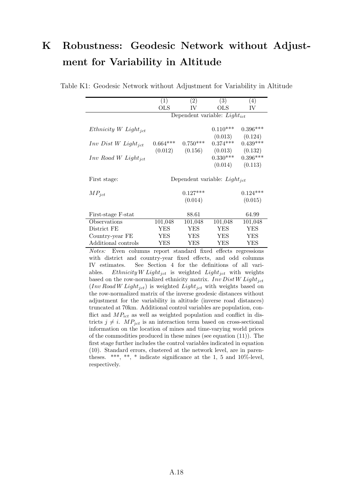# K Robustness: Geodesic Network without Adjustment for Variability in Altitude

|                                   | (1)                   | (2)                               | (3)                   | (4)                   |
|-----------------------------------|-----------------------|-----------------------------------|-----------------------|-----------------------|
|                                   | OLS                   | IV                                | OLS                   | IV                    |
|                                   |                       | Dependent variable: $Light_{ict}$ |                       |                       |
| Ethnicity W Light <sub>ict</sub>  |                       |                                   | $0.110***$<br>(0.013) | $0.396***$<br>(0.124) |
| $Inv\ Dist\ W\ Light_{ict}$       | $0.664***$<br>(0.012) | $0.750***$<br>(0.156)             | $0.374***$<br>(0.013) | $0.439***$<br>(0.132) |
| $Inv$ Road W Light <sub>ict</sub> |                       |                                   | $0.330***$            | $0.396***$            |
|                                   |                       |                                   | (0.014)               | (0.113)               |
| First stage:                      |                       | Dependent variable: $Light_{ict}$ |                       |                       |
| $MP_{ict}$                        |                       | $0.127***$                        |                       | $0.124***$            |
|                                   |                       | (0.014)                           |                       | (0.015)               |
| First-stage F-stat                |                       | 88.61                             |                       | 64.99                 |
| Observations                      | 101,048               | 101,048                           | 101,048               | 101,048               |
| District FE                       | YES                   | <b>YES</b>                        | <b>YES</b>            | YES                   |
| Country-year FE                   | YES                   | YES                               | YES                   | YES                   |
| Additional controls               | YES                   | YES                               | YES                   | YES                   |

Table K1: Geodesic Network without Adjustment for Variability in Altitude

Notes: Even columns report standard fixed effects regressions with district and country-year fixed effects, and odd columns IV estimates. See Section 4 for the definitions of all variables. Ethnicity W Light<sub>ict</sub> is weighted Light<sub>ict</sub> with weights based on the row-normalized ethnicity matrix. Inv Dist W Light<sub>jct</sub>  $(Inv\, Road\, W\, Light_{jet})$  is weighted  $Light_{jet}$  with weights based on the row-normalized matrix of the inverse geodesic distances without adjustment for the variability in altitude (inverse road distances) truncated at 70km. Additional control variables are population, conflict and  $MP_{ict}$  as well as weighted population and conflict in districts  $j \neq i$ .  $MP_{jet}$  is an interaction term based on cross-sectional information on the location of mines and time-varying world prices of the commodities produced in these mines (see equation (11)). The first stage further includes the control variables indicated in equation (10). Standard errors, clustered at the network level, are in parentheses. \*\*\*, \*\*, \* indicate significance at the 1, 5 and 10%-level, respectively.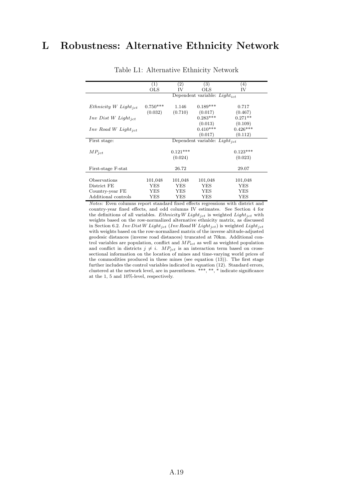## L Robustness: Alternative Ethnicity Network

|                                   | $\left( 1\right)$ | (2)        | (3)                               | (4)        |
|-----------------------------------|-------------------|------------|-----------------------------------|------------|
|                                   | $_{\rm OLS}$      | IV         | OLS                               | IV         |
|                                   |                   |            | Dependent variable: $Light_{ict}$ |            |
| Ethnicity W Light <sub>ict</sub>  | $0.750***$        | 1.146      | $0.189***$                        | 0.717      |
|                                   | (0.032)           | (0.710)    | (0.017)                           | (0.467)    |
| $Inv\ Dist\ W\ Light_{ict}$       |                   |            | $0.283***$                        | $0.271**$  |
|                                   |                   |            | (0.013)                           | (0.109)    |
| $Inv$ Road W Light <sub>ict</sub> |                   |            | $0.410***$                        | $0.426***$ |
|                                   |                   |            | (0.017)                           | (0.112)    |
| First stage:                      |                   |            | Dependent variable: $Light_{ict}$ |            |
| $MP_{ict}$                        |                   | $0.121***$ |                                   | $0.123***$ |
|                                   |                   | (0.024)    |                                   | (0.023)    |
| First-stage F-stat                |                   | 26.72      |                                   | 29.07      |
| Observations                      | 101,048           | 101,048    | 101,048                           | 101,048    |
| District FE                       | YES               | YES        | YES                               | YES        |
| Country-year FE                   | YES               | YES        | YES                               | YES        |
| Additional controls               | YES               | <b>YES</b> | YES                               | YES        |

Table L1: Alternative Ethnicity Network

Notes: Even columns report standard fixed effects regressions with district and country-year fixed effects, and odd columns IV estimates. See Section 4 for the definitions of all variables. Ethnicity W Light<sub>ict</sub> is weighted Light<sub>ict</sub> with weights based on the row-normalized alternative ethnicity matrix, as discussed in Section 6.2. Inv Dist W Light<sub>jct</sub> (Inv Road W Light<sub>jct</sub>) is weighted Light<sub>jct</sub> with weights based on the row-normalized matrix of the inverse altitude-adjusted geodesic distances (inverse road distances) truncated at 70km. Additional control variables are population, conflict and  $MP_{ict}$  as well as weighted population and conflict in districts  $j \neq i$ .  $MP_{jet}$  is an interaction term based on crosssectional information on the location of mines and time-varying world prices of the commodities produced in these mines (see equation (13)). The first stage further includes the control variables indicated in equation (12). Standard errors, clustered at the network level, are in parentheses. \*\*\*, \*\*, \* indicate significance at the 1, 5 and 10%-level, respectively.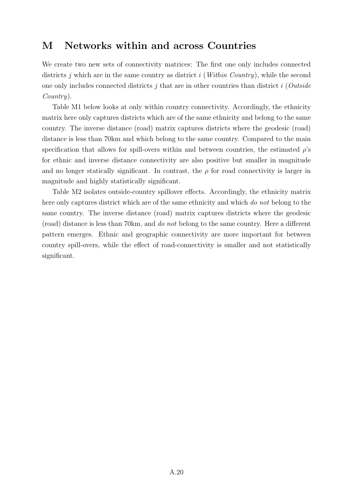### M Networks within and across Countries

We create two new sets of connectivity matrices: The first one only includes connected districts j which are in the same country as district i (Within Country), while the second one only includes connected districts  $j$  that are in other countries than district  $i$  (Outside Country).

Table M1 below looks at only within country connectivity. Accordingly, the ethnicity matrix here only captures districts which are of the same ethnicity and belong to the same country. The inverse distance (road) matrix captures districts where the geodesic (road) distance is less than 70km and which belong to the same country. Compared to the main specification that allows for spill-overs within and between countries, the estimated  $\rho$ 's for ethnic and inverse distance connectivity are also positive but smaller in magnitude and no longer statically significant. In contrast, the  $\rho$  for road connectivity is larger in magnitude and highly statistically significant.

Table M2 isolates outside-country spillover effects. Accordingly, the ethnicity matrix here only captures district which are of the same ethnicity and which do not belong to the same country. The inverse distance (road) matrix captures districts where the geodesic (road) distance is less than 70km, and do not belong to the same country. Here a different pattern emerges. Ethnic and geographic connectivity are more important for between country spill-overs, while the effect of road-connectivity is smaller and not statistically significant.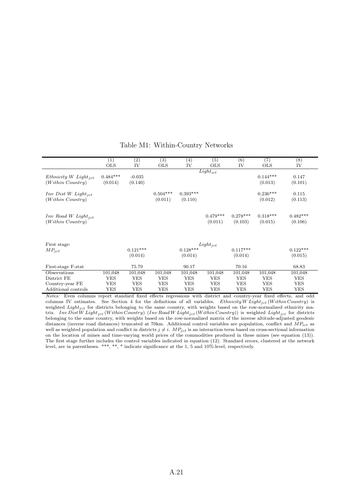|                                                       | (1)                   | $\left( 2\right)$     | (3)                   | $\left( 4\right)$     | (5)                   | (6)                   | (7)                   | (8)                   |
|-------------------------------------------------------|-----------------------|-----------------------|-----------------------|-----------------------|-----------------------|-----------------------|-----------------------|-----------------------|
|                                                       | <b>OLS</b>            | IV                    | <b>OLS</b>            | IV                    | <b>OLS</b>            | IV                    | <b>OLS</b>            | IV                    |
| Ethnicity W Light <sub>ict</sub><br>(Within~Country)  | $0.484***$<br>(0.014) | $-0.035$<br>(0.140)   |                       |                       | $Light_{ict}$         |                       | $0.144***$<br>(0.013) | 0.147<br>(0.101)      |
| $Inv\ Dist\ W\ Light_{ict}$<br>(Within~Country)       |                       |                       | $0.504***$<br>(0.011) | $0.393***$<br>(0.110) |                       |                       | $0.236***$<br>(0.012) | 0.115<br>(0.113)      |
| $Inv$ Road W Light <sub>ict</sub><br>(Within~Country) |                       |                       |                       |                       | $0.479***$<br>(0.011) | $0.278***$<br>(0.103) | $0.318***$<br>(0.015) | $0.482***$<br>(0.106) |
| First stage:<br>$MP_{ict}$                            |                       | $0.121***$<br>(0.014) |                       | $0.128***$<br>(0.014) | $Light_{ict}$         | $0.117***$<br>(0.014) |                       | $0.122***$<br>(0.015) |
| First-stage F-stat                                    |                       | 75.79                 |                       | 90.17                 |                       | 70.16                 |                       | 68.83                 |
| Observations                                          | 101,048               | 101,048               | 101,048               | 101,048               | 101,048               | 101,048               | 101,048               | 101,048               |
| District FE                                           | YES                   | YES                   | YES                   | YES                   | YES                   | <b>YES</b>            | YES                   | YES                   |
| Country-year FE                                       | YES                   | <b>YES</b>            | YES                   | YES                   | YES                   | <b>YES</b>            | YES                   | <b>YES</b>            |
| Additional controls                                   | YES                   | YES                   | YES                   | YES                   | YES                   | YES                   | YES                   | YES                   |

#### Table M1: Within-Country Networks

Notes: Even columns report standard fixed effects regressions with district and country-year fixed effects, and odd columns IV estimates. See Section 4 for the definitions of all variables. Ethnicity W Light<sub>ict</sub> (Within Country) is weighted  $Light_{jet}$  for districts belonging to the same country, with weights based on the row-normalized ethnicity matrix. Inv Dist W Light<sub>jct</sub> (Within Country) (Inv Road W Light<sub>jct</sub> (Within Country)) is weighted Light<sub>jct</sub> for districts belonging to the same country, with weights based on the row-normalized matrix of the inverse altitude-adjusted geodesic distances (inverse road distances) truncated at 70km. Additional control variables are population, conflict and  $MP_{ict}$  as well as weighted population and conflict in districts  $j \neq i$ .  $MP_{jet}$  is an interaction term based on cross-sectional information on the location of mines and time-varying world prices of the commodities produced in these mines (see equation (13)). The first stage further includes the control variables indicated in equation (12). Standard errors, clustered at the network level, are in parentheses. \*\*\*, \*\*, \* indicate significance at the 1, 5 and 10%-level, respectively.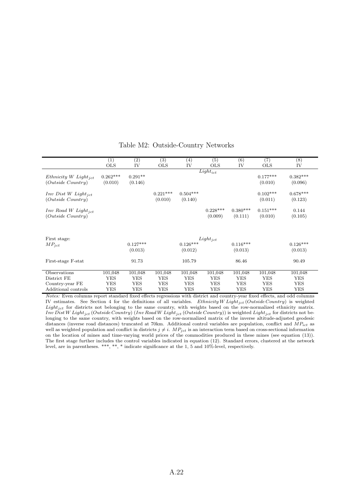|                                                           | (1)<br><b>OLS</b>     | $\left( 2\right)$<br>IV | $\left( 3\right)$<br><b>OLS</b> | $\left( 4\right)$<br>IV | (5)<br><b>OLS</b>     | (6)<br>IV             | (7)<br><b>OLS</b>     | $^{(8)}$<br>IV        |
|-----------------------------------------------------------|-----------------------|-------------------------|---------------------------------|-------------------------|-----------------------|-----------------------|-----------------------|-----------------------|
|                                                           |                       |                         |                                 |                         | $Light_{ict}$         |                       |                       |                       |
| Ethnicity W Light <sub>ict</sub><br>$(Outside\,Country)$  | $0.262***$<br>(0.010) | $0.291**$<br>(0.146)    |                                 |                         |                       |                       | $0.177***$<br>(0.010) | $0.382***$<br>(0.096) |
| $Inv\ Dist\ W\ Light_{ict}$<br>$(Outside\,Country)$       |                       |                         | $0.221***$<br>(0.010)           | $0.504***$<br>(0.140)   |                       |                       | $0.102***$<br>(0.011) | $0.678***$<br>(0.123) |
| $Inv$ Road W Light <sub>ict</sub><br>$(Outside\ Country)$ |                       |                         |                                 |                         | $0.228***$<br>(0.009) | $0.380***$<br>(0.111) | $0.151***$<br>(0.010) | 0.144<br>(0.105)      |
|                                                           |                       |                         |                                 |                         |                       |                       |                       |                       |
| First stage:                                              |                       |                         |                                 |                         | $Light_{jet}$         | $0.116***$            |                       |                       |
| $MP_{ict}$                                                |                       | $0.127***$<br>(0.013)   |                                 | $0.126***$<br>(0.012)   |                       | (0.013)               |                       | $0.126***$<br>(0.013) |
| First-stage F-stat                                        |                       | 91.73                   |                                 | 105.79                  |                       | 86.46                 |                       | 90.49                 |
| Observations                                              | 101,048               | 101,048                 | 101,048                         | 101,048                 | 101,048               | 101,048               | 101,048               | 101,048               |
| District FE                                               | YES                   | YES                     | YES                             | YES                     | YES                   | <b>YES</b>            | YES                   | <b>YES</b>            |
| Country-year FE                                           | <b>YES</b>            | YES                     | YES                             | YES                     | YES                   | <b>YES</b>            | YES                   | <b>YES</b>            |
| Additional controls                                       | <b>YES</b>            | YES                     | YES                             | YES                     | YES                   | YES                   | YES                   | YES                   |

#### Table M2: Outside-Country Networks

Notes: Even columns report standard fixed effects regressions with district and country-year fixed effects, and odd columns IV estimates. See Section 4 for the definitions of all variables. Ethnicity W Light<sub>jct</sub> (Outside Country) is weighted  $Light_{jet}$  for districts not belonging to the same country, with weights based on the row-normalized ethnicity matrix.  $Inv\,Dist\,W\,Light\,jet\, (Outside\,Country)\, (Inv\, Road\,W\, Light\,jet\, (Outside\, Country))$  is weighted  $Light\,jet$  for districts not belonging to the same country, with weights based on the row-normalized matrix of the inverse altitude-adjusted geodesic distances (inverse road distances) truncated at 70km. Additional control variables are population, conflict and  $MP_{ict}$  as well as weighted population and conflict in districts  $j \neq i$ .  $MP_{jet}$  is an interaction term based on cross-sectional information on the location of mines and time-varying world prices of the commodities produced in these mines (see equation (13)). The first stage further includes the control variables indicated in equation (12). Standard errors, clustered at the network level, are in parentheses. \*\*\*, \*\*, \* indicate significance at the 1, 5 and 10%-level, respectively.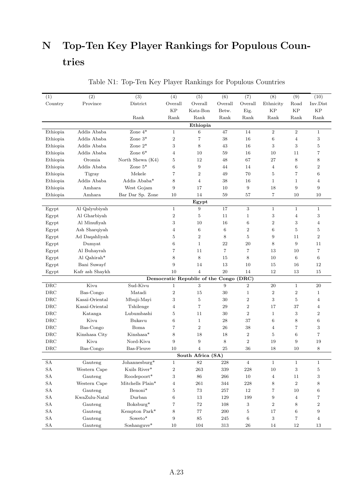# N Top-Ten Key Player Rankings for Populous Countries

| (1)        | (2)             | (3)                                | (4)               | (5)                                    | (6)             | (7)                     | (8)              | (9)             | (10)             |
|------------|-----------------|------------------------------------|-------------------|----------------------------------------|-----------------|-------------------------|------------------|-----------------|------------------|
| Country    | Province        | District                           | $\mbox{Overall}$  | Overall                                | Overall         | Overall                 | Ethnicity        | Road            | Inv.Dist         |
|            |                 |                                    | <b>KP</b>         | Katz-Bon                               | Betw.           | Eig.                    | <b>KP</b>        | <b>KP</b>       | <b>KP</b>        |
|            |                 | Rank                               | Rank              | Rank                                   | Rank            | Rank                    | Rank             | Rank            | Rank             |
|            |                 |                                    |                   | Ethiopia                               |                 |                         |                  |                 |                  |
| Ethiopia   | Addis Ababa     | Zone $4^*$                         | $\mathbf{1}$      | $6\phantom{.}6$                        | 47              | 14                      | $\boldsymbol{2}$ | $\overline{2}$  | $\mathbf{1}$     |
| Ethiopia   | Addis Ababa     | Zone $3^*$                         | $\boldsymbol{2}$  | $\overline{7}$                         | 38              | 16                      | $\,6\,$          | 4               | 3                |
| Ethiopia   | Addis Ababa     | Zone $2^*$                         | 3                 | 8                                      | 43              | 16                      | 3                | 3               | $\overline{5}$   |
| Ethiopia   | Addis Ababa     | Zone $6^*$                         | $\overline{4}$    | 10                                     | 59              | 16                      | 10               | 11              | 7                |
| Ethiopia   | Oromia          | North Shewa (K4)                   | 5                 | 12                                     | 48              | 67                      | 27               | 8               | 8                |
| Ethiopia   | Addis Ababa     | Zone $5^*$                         | 6                 | 9                                      | 44              | 14                      | $\overline{4}$   | $6\phantom{1}6$ | $\overline{2}$   |
| Ethiopia   | Tigray          | Mekele                             | $\overline{7}$    | $\boldsymbol{2}$                       | 49              | 70                      | 5                | 7               | $6\phantom{1}6$  |
| Ethiopia   | Addis Ababa     | Addis Ababa*                       | 8                 | $\overline{4}$                         | 38              | 16                      | $\mathbf{1}$     | $\mathbf{1}$    | $\overline{4}$   |
| Ethiopia   | Amhara          | West Gojam                         | $\boldsymbol{9}$  | 17                                     | 10              | 9                       | 18               | 9               | 9                |
| Ethiopia   | Amhara          | Bar Dar Sp. Zone                   | 10                | 14                                     | 59              | 57                      | $\overline{7}$   | 10              | 10               |
|            |                 |                                    |                   | Egypt                                  |                 |                         |                  |                 |                  |
| Egypt      | Al Qalyubiyah   |                                    | $\mathbf{1}$      | $\boldsymbol{9}$                       | 17              | 3                       | $\mathbf{1}$     | $1\,$           | $\mathbf{1}$     |
| Egypt      | Al Gharbiyah    |                                    | $\,2$             | $\bf 5$                                | 11              | $\mathbf{1}$            | $\,3$            | $\overline{4}$  | 3                |
| Egypt      | Al Minufiyah    |                                    | 3                 | 10                                     | 16              | $\,6$                   | $\overline{2}$   | 3               | $\overline{4}$   |
| Egypt      | Ash Sharqiyah   |                                    | $\overline{4}$    | $6\phantom{.}6$                        | $6\phantom{.}6$ | $\overline{\mathbf{2}}$ | $\,6\,$          | 5               | $\overline{5}$   |
| Egypt      | Ad Daqahliyah   |                                    | 5                 | $\boldsymbol{2}$                       | 8               | $\overline{5}$          | 9                | 11              | $\boldsymbol{2}$ |
| Egypt      | Dumyat          |                                    | 6                 | $\mathbf{1}$                           | 22              | 20                      | 8                | 9               | 11               |
| Egypt      | Al Buhayrah     |                                    | $\overline{7}$    | 11                                     | $\overline{7}$  | 7                       | 13               | 10              | 7                |
| Egypt      | Al Qahirah*     |                                    | 8                 | 8                                      | 15              | 8                       | 10               | 6               | $\,6\,$          |
| Egypt      | Bani Suwayf     |                                    | 9                 | 14                                     | 13              | 10                      | 15               | 16              | 12               |
| Egypt      | Kafr ash Shaykh |                                    | 10                | $\overline{4}$                         | 20              | 14                      | 12               | 13              | 15               |
|            |                 |                                    |                   | Democratic Republic of the Congo (DRC) |                 |                         |                  |                 |                  |
| DRC        | Kivu            | Sud-Kivu                           | $\mathbf{1}$      | 3                                      | 9               | $\overline{2}$          | 20               | $\mathbf{1}$    | 20               |
| DRC        | Bas-Congo       | Matadi                             | $\overline{2}$    | 15                                     | 30              | $\mathbf{1}$            | $\overline{2}$   | $\overline{2}$  | $\mathbf{1}$     |
| DRC        | Kasaï-Oriental  | Mbuji-Mayi                         | 3                 | $\bf 5$                                | 30              | $\,2$                   | 3                | $\overline{5}$  | $\overline{4}$   |
| DRC        | Kasaï-Oriental  | Tshilenge                          | $\overline{4}$    | 7                                      | 29              | $\overline{2}$          | 17               | 37              | $\overline{4}$   |
| DRC        | Katanga         | Lubumbashi                         | 5                 | 11                                     | 30              | $\overline{2}$          | $\mathbf{1}$     | 3               | $\overline{2}$   |
| DRC        | Kivu            | Bukavu                             | $6\phantom{1}6$   | $\mathbf{1}$                           | 28              | 37                      | $\,6\,$          | 8               | 6                |
| DRC        | Bas-Congo       | Boma                               | $\overline{7}$    | $\boldsymbol{2}$                       | 26              | 38                      | $\overline{4}$   | 7               | 3                |
| DRC        | Kinshasa City   | Kinshasa*                          | $8\,$             | 18                                     | 18              | 2                       | 5                | $6\phantom{.}6$ | 7                |
| DRC        | Kivu            | Nord-Kivu                          | 9                 | 9                                      | 8               | $\overline{2}$          | 19               | 9               | 19               |
| DRC        | Bas-Congo       | Bas-Fleuve                         | 10                | 4                                      | 25              | 36                      | 18               | 10              | 8                |
|            |                 |                                    |                   | South Africa (SA)                      |                 |                         |                  |                 |                  |
| ${\rm SA}$ | Gauteng         | Johannesburg*                      | $\mathbf{1}$      | $82\,$                                 | $228\,$         | $\,4$                   | $\,1\,$          | $\,1$           | $\mathbf{1}$     |
| ${\rm SA}$ | Western Cape    | Kuils River*                       | $\,2$             | 263                                    | $339\,$         | 228                     | $10\,$           | 3               | $\bf 5$          |
| ${\rm SA}$ | Gauteng         | Roodepoort*                        | $\,3$             | 86                                     | $266\,$         | $10\,$                  | $\overline{4}$   | 11              | 3                |
| ${\rm SA}$ | Western Cape    | Mitchells $\operatorname{Plain^*}$ | $\overline{4}$    | 261                                    | 344             | 228                     | 8                | $\overline{2}$  | 8                |
| ${\rm SA}$ | Gauteng         | Benoni*                            | $\bf 5$           | 73                                     | $257\,$         | 12                      | 7                | 10              | $\,6$            |
| ${\rm SA}$ | KwaZulu-Natal   | Durban                             | $\,6\,$           | 13                                     | 129             | 199                     | $\boldsymbol{9}$ | $\overline{4}$  | 7                |
| ${\rm SA}$ | Gauteng         | Boksburg*                          | $\scriptstyle{7}$ | 72                                     | 108             | $\,3$                   | $\,2$            | 8               | $\boldsymbol{2}$ |
| ${\rm SA}$ | Gauteng         | Kempton Park*                      | $8\,$             | $77\,$                                 | $200\,$         | $\bf 5$                 | $17\,$           | $\,6$           | 9                |
| ${\rm SA}$ | Gauteng         | $\operatorname{Soweto}^*$          | $\boldsymbol{9}$  | $85\,$                                 | $245\,$         | $\,6\,$                 | 3                | $\,7$           | $\overline{4}$   |
| SA         | Gauteng         | Soshanguve*                        | 10                | 104                                    | $313\,$         | 26                      | 14               | 12              | 13               |

Table N1: Top-Ten Key Player Rankings for Populous Countries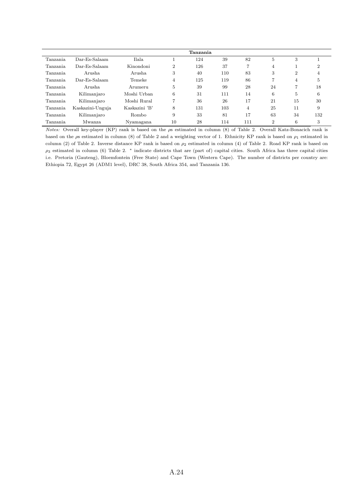|                 |                  |               |                | Tanzania |     |     |                |    |                |
|-----------------|------------------|---------------|----------------|----------|-----|-----|----------------|----|----------------|
| Tanzania        | Dar-Es-Salaam    | Ilala         |                | 124      | 39  | 82  | 5              | 3  |                |
| <b>Tanzania</b> | Dar-Es-Salaam    | Kinondoni     | $\overline{2}$ | 126      | 37  | 7   | $\overline{4}$ |    | $\overline{2}$ |
| Tanzania.       | Arusha           | Arusha        | 3              | 40       | 110 | 83  | 3              | 2  | 4              |
| Tanzania        | Dar-Es-Salaam    | Temeke        | 4              | 125      | 119 | 86  | 7              | 4  | 5              |
| Tanzania        | Arusha           | Arumeru       | 5              | 39       | 99  | 28  | 24             | 7  | 18             |
| Tanzania        | Kilimanjaro      | Moshi Urban   | 6              | 31       | 111 | 14  | 6              | 5  | 6              |
| Tanzania        | Kilimanjaro      | Moshi Rural   | 7              | 36       | 26  | 17  | 21             | 15 | 30             |
| Tanzania        | Kaskazini-Unguja | Kaskazini 'B' | 8              | 131      | 103 | 4   | 25             | 11 | 9              |
| Tanzania        | Kilimanjaro      | Rombo         | 9              | 33       | 81  | 17  | 63             | 34 | 132            |
| Tanzania        | Mwanza           | Nyamagana     | 10             | 28       | 114 | 111 | $\overline{2}$ | 6  | 3              |

Notes: Overall key-player (KP) rank is based on the ρs estimated in column (8) of Table 2. Overall Katz-Bonacich rank is based on the  $\rho$ s estimated in column (8) of Table 2 and a weighting vector of 1. Ethnicity KP rank is based on  $\rho_1$  estimated in column (2) of Table 2. Inverse distance KP rank is based on  $\rho_2$  estimated in column (4) of Table 2. Road KP rank is based on  $\rho_3$  estimated in column (6) Table 2.  $*$  indicate districts that are (part of) capital cities. South Africa has three capital cities i.e. Pretoria (Gauteng), Bloemfontein (Free State) and Cape Town (Western Cape). The number of districts per country are: Ethiopia 72, Egypt 26 (ADM1 level), DRC 38, South Africa 354, and Tanzania 136.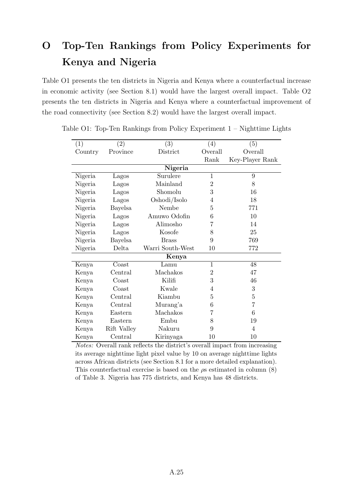# O Top-Ten Rankings from Policy Experiments for Kenya and Nigeria

Table O1 presents the ten districts in Nigeria and Kenya where a counterfactual increase in economic activity (see Section 8.1) would have the largest overall impact. Table O2 presents the ten districts in Nigeria and Kenya where a counterfactual improvement of the road connectivity (see Section 8.2) would have the largest overall impact.

| (1)     | $\left( 2\right)$ | (3)              | (4)            | (5)             |
|---------|-------------------|------------------|----------------|-----------------|
| Country | Province          | District         | Overall        | Overall         |
|         |                   |                  | Rank           | Key-Player Rank |
|         |                   | Nigeria          |                |                 |
| Nigeria | Lagos             | Surulere         | $\mathbf{1}$   | 9               |
| Nigeria | Lagos             | Mainland         | $\overline{2}$ | 8               |
| Nigeria | Lagos             | Shomolu          | 3              | 16              |
| Nigeria | Lagos             | Oshodi/Isolo     | 4              | 18              |
| Nigeria | Bayelsa           | Nembe            | 5              | 771             |
| Nigeria | Lagos             | Amuwo Odofin     | 6              | 10              |
| Nigeria | Lagos             | Alimosho         | 7              | 14              |
| Nigeria | Lagos             | Kosofe           | 8              | 25              |
| Nigeria | <b>Bayelsa</b>    | <b>Brass</b>     | 9              | 769             |
| Nigeria | Delta             | Warri South-West | 10             | 772             |
|         |                   | Kenya            |                |                 |
| Kenya   | Coast             | Lamu             | $\mathbf{1}$   | 48              |
| Kenya   | Central           | Machakos         | 2              | 47              |
| Kenya   | Coast             | Kilifi           | 3              | 46              |
| Kenya   | Coast             | Kwale            | 4              | 3               |
| Kenya   | Central           | Kiambu           | 5              | $\overline{5}$  |
| Kenya   | Central           | Murang'a         | 6              | 7               |
| Kenya   | Eastern           | Machakos         | 7              | 6               |
| Kenya   | Eastern           | Embu             | 8              | 19              |
| Kenya   | Rift Valley       | Nakuru           | 9              | 4               |
| Kenya   | Central           | Kirinyaga        | 10             | 10              |

|  |  |  | Table O1: Top-Ten Rankings from Policy Experiment 1 - Nighttime Lights |  |  |
|--|--|--|------------------------------------------------------------------------|--|--|
|  |  |  |                                                                        |  |  |

Notes: Overall rank reflects the district's overall impact from increasing its average nighttime light pixel value by 10 on average nighttime lights across African districts (see Section 8.1 for a more detailed explanation). This counterfactual exercise is based on the  $\rho s$  estimated in column (8) of Table 3. Nigeria has 775 districts, and Kenya has 48 districts.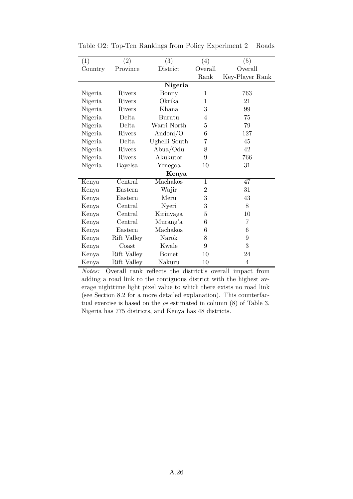| (1)     | $\left( 2\right)$ | $\bar{3})$    | (4)            | (5)             |
|---------|-------------------|---------------|----------------|-----------------|
| Country | Province          | District      | Overall        | Overall         |
|         |                   |               | Rank           | Key-Player Rank |
|         |                   | Nigeria       |                |                 |
| Nigeria | Rivers            | Bonny         | $\overline{1}$ | 763             |
| Nigeria | Rivers            | Okrika        | $\mathbf 1$    | 21              |
| Nigeria | Rivers            | Khana         | 3              | 99              |
| Nigeria | Delta             | Burutu        | $\overline{4}$ | 75              |
| Nigeria | Delta             | Warri North   | 5              | 79              |
| Nigeria | Rivers            | Andoni/O      | 6              | 127             |
| Nigeria | Delta             | Ughelli South | 7              | 45              |
| Nigeria | Rivers            | Abua/Odu      | 8              | 42              |
| Nigeria | Rivers            | Akukutor      | 9              | 766             |
| Nigeria | Bayelsa           | Yenegoa       | 10             | 31              |
|         |                   | Kenya         |                |                 |
| Kenya   | Central           | Machakos      | $\mathbf{1}$   | 47              |
| Kenya   | Eastern           | Wajir         | $\overline{2}$ | 31              |
| Kenya   | Eastern           | Meru          | 3              | 43              |
| Kenya   | Central           | Nyeri         | 3              | 8               |
| Kenya   | Central           | Kirinyaga     | $\overline{5}$ | 10              |
| Kenya   | Central           | Murang'a      | 6              | $\overline{7}$  |
| Kenya   | Eastern           | Machakos      | 6              | 6               |
| Kenya   | Rift Valley       | Narok         | 8              | 9               |
| Kenya   | $\text{Coast}$    | Kwale         | 9              | 3               |
| Kenya   | Rift Valley       | <b>Bomet</b>  | 10             | 24              |
| Kenya   | Rift Valley       | Nakuru        | 10             | 4               |

Table O2: Top-Ten Rankings from Policy Experiment 2 – Roads

Notes: Overall rank reflects the district's overall impact from adding a road link to the contiguous district with the highest average nighttime light pixel value to which there exists no road link (see Section 8.2 for a more detailed explanation). This counterfactual exercise is based on the  $\rho s$  estimated in column (8) of Table 3. Nigeria has 775 districts, and Kenya has 48 districts.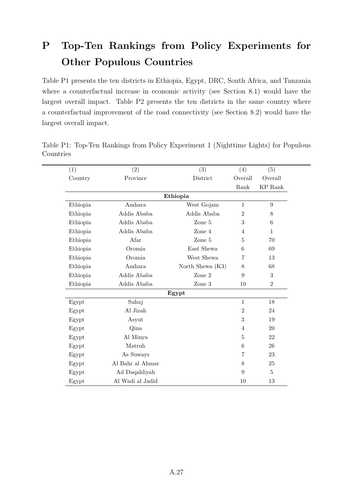# P Top-Ten Rankings from Policy Experiments for Other Populous Countries

Table P1 presents the ten districts in Ethiopia, Egypt, DRC, South Africa, and Tanzania where a counterfactual increase in economic activity (see Section 8.1) would have the largest overall impact. Table P2 presents the ten districts in the same country where a counterfactual improvement of the road connectivity (see Section 8.2) would have the largest overall impact.

| (1)      | (2)              | (3)                | (4)            | (5)              |
|----------|------------------|--------------------|----------------|------------------|
| Country  | Province         | District           | Overall        | Overall          |
|          |                  |                    | Rank           | <b>KP</b> Rank   |
|          |                  | Ethiopia           |                |                  |
| Ethiopia | Amhara           | West Gojam         | $\mathbf{1}$   | $\boldsymbol{9}$ |
| Ethiopia | Addis Ababa      | Addis Ababa        | $\overline{2}$ | 8                |
| Ethiopia | Addis Ababa      | Zone 5             | 3              | 6                |
| Ethiopia | Addis Ababa      | Zone 4             | $\overline{4}$ | $\mathbf{1}$     |
| Ethiopia | Afar             | Zone 5             | 5              | 70               |
| Ethiopia | Oromia           | East Shewa         | 6              | 69               |
| Ethiopia | Oromia           | West Shewa         | 7              | 13               |
| Ethiopia | Amhara           | North Shewa $(K3)$ | 8              | 68               |
| Ethiopia | Addis Ababa      | Zone 2             | 9              | 3                |
| Ethiopia | Addis Ababa      | Zone 3             | 10             | $\overline{2}$   |
|          |                  | Egypt              |                |                  |
| Egypt    | Suhaj            |                    | $\mathbf{1}$   | 18               |
| Egypt    | Al Jizah         |                    | $\overline{2}$ | 24               |
| Egypt    | Asyut            |                    | 3              | 19               |
| Egypt    | Qina             |                    | 4              | 20               |
| Egypt    | Al Minya         |                    | 5              | 22               |
| Egypt    | Matruh           |                    | 6              | 26               |
| Egypt    | As Suways        |                    | 7              | 23               |
| Egypt    | Al Bahr al Ahmar |                    | 8              | 25               |
| Egypt    | Ad Daqahliyah    |                    | 9              | $\overline{5}$   |
| Egypt    | Al Wadi al Jadid |                    | 10             | 13               |

Table P1: Top-Ten Rankings from Policy Experiment 1 (Nighttime Lights) for Populous Countries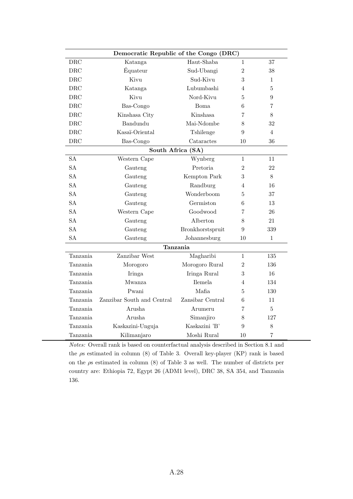|           | Democratic Republic of the Congo (DRC) |                   |                |                |
|-----------|----------------------------------------|-------------------|----------------|----------------|
| $\rm DRC$ | Katanga                                | Haut-Shaba        | $\mathbf 1$    | 37             |
| $\rm DRC$ | Équateur                               | Sud-Ubangi        | $\overline{2}$ | 38             |
| DRC       | Kivu                                   | Sud-Kivu          | 3              | 1              |
| $\rm DRC$ | Katanga                                | Lubumbashi        | 4              | $\overline{5}$ |
| $\rm DRC$ | Kivu                                   | Nord-Kivu         | 5              | 9              |
| DRC       | Bas-Congo                              | Boma              | 6              | 7              |
| DRC       | Kinshasa City                          | Kinshasa          | 7              | 8              |
| DRC       | Bandundu                               | Mai-Ndombe        | 8              | 32             |
| DRC       | Kasaï-Oriental                         | Tshilenge         | 9              | $\overline{4}$ |
| DRC       | Bas-Congo                              | Cataractes        | 10             | 36             |
|           |                                        | South Africa (SA) |                |                |
| <b>SA</b> | Western Cape                           | Wynberg           | $\mathbf{1}$   | 11             |
| <b>SA</b> | Gauteng                                | Pretoria          | $\overline{2}$ | 22             |
| <b>SA</b> | Gauteng                                | Kempton Park      | 3              | 8              |
| <b>SA</b> | Gauteng                                | Randburg          | 4              | 16             |
| <b>SA</b> | Gauteng                                | Wonderboom        | 5              | 37             |
| <b>SA</b> | Gauteng                                | Germiston         | 6              | 13             |
| <b>SA</b> | Western Cape                           | Goodwood          | 7              | 26             |
| <b>SA</b> | Gauteng                                | Alberton          | 8              | 21             |
| <b>SA</b> | Gauteng                                | Bronkhorstspruit  | 9              | 339            |
| <b>SA</b> | Gauteng                                | Johannesburg      | 10             | $\mathbf{1}$   |
|           |                                        | Tanzania          |                |                |
| Tanzania  | Zanzibar West                          | Magharibi         | 1              | 135            |
| Tanzania  | Morogoro                               | Morogoro Rural    | $\overline{2}$ | 136            |
| Tanzania  | Iringa                                 | Iringa Rural      | 3              | 16             |
| Tanzania  | Mwanza                                 | Ilemela           | 4              | 134            |
| Tanzania  | Pwani                                  | Mafia             | 5              | 130            |
| Tanzania  | Zanzibar South and Central             | Zansibar Central  | 6              | 11             |
| Tanzania  | Arusha                                 | Arumeru           | 7              | $\overline{5}$ |
| Tanzania  | Arusha                                 | Simanjiro         | 8              | 127            |
| Tanzania  | Kaskazini-Unguja                       | Kaskazini 'B'     | 9              | 8              |
| Tanzania  | Kilimanjaro                            | Moshi Rural       | 10             | 7              |

Notes: Overall rank is based on counterfactual analysis described in Section 8.1 and the  $\rho s$  estimated in column (8) of Table 3. Overall key-player (KP) rank is based on the  $\rho s$  estimated in column (8) of Table 3 as well. The number of districts per country are: Ethiopia 72, Egypt 26 (ADM1 level), DRC 38, SA 354, and Tanzania 136.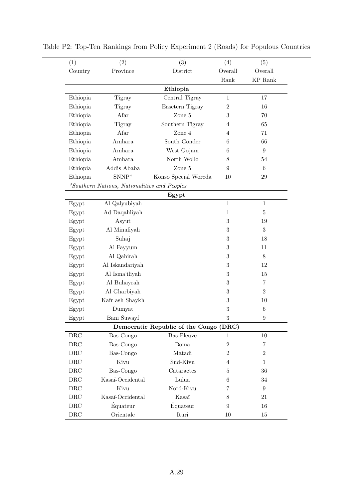| (1)       | (2)                                          | (3)                                    | (4)              | (5)                             |
|-----------|----------------------------------------------|----------------------------------------|------------------|---------------------------------|
| Country   | Province                                     | District                               | Overall          | Overall                         |
|           |                                              |                                        | Rank             | $\mathop{\rm KP}\nolimits$ Rank |
|           |                                              | Ethiopia                               |                  |                                 |
| Ethiopia  | Tigray                                       | Central Tigray                         | $1\,$            | 17                              |
| Ethiopia  | <b>Tigray</b>                                | Easetern Tigray                        | $\overline{2}$   | 16                              |
| Ethiopia  | Afar                                         | Zone 5                                 | 3                | 70                              |
| Ethiopia  | <b>Tigray</b>                                | Southern Tigray                        | 4                | 65                              |
| Ethiopia  | Afar                                         | Zone 4                                 | 4                | 71                              |
| Ethiopia  | Amhara                                       | South Gonder                           | 6                | 66                              |
| Ethiopia  | Amhara                                       | West Gojam                             | 6                | 9                               |
| Ethiopia  | Amhara                                       | North Wollo                            | 8                | 54                              |
| Ethiopia  | Addis Ababa                                  | Zone 5                                 | 9                | $\,6\,$                         |
| Ethiopia  | $SNNP*$                                      | Konso Special Woreda                   | 10               | 29                              |
|           | *Southern Nations, Nationalities and Peoples |                                        |                  |                                 |
|           |                                              | Egypt                                  |                  |                                 |
| Egypt     | Al Qalyubiyah                                |                                        | $\mathbf{1}$     | $\mathbf{1}$                    |
| Egypt     | Ad Daqahliyah                                |                                        | $\mathbf{1}$     | $\bf 5$                         |
| Egypt     | Asyut                                        |                                        | $\boldsymbol{3}$ | 19                              |
| Egypt     | Al Minufiyah                                 |                                        | 3                | 3                               |
| Egypt     | Suhaj                                        |                                        | $\boldsymbol{3}$ | 18                              |
| Egypt     | Al Fayyum                                    |                                        | $\boldsymbol{3}$ | 11                              |
| Egypt     | Al Qahirah                                   |                                        | 3                | 8                               |
| Egypt     | Al Iskandariyah                              |                                        | $\boldsymbol{3}$ | 12                              |
| Egypt     | Al Isma'iliyah                               |                                        | 3                | 15                              |
| Egypt     | Al Buhayrah                                  |                                        | $\boldsymbol{3}$ | $\overline{7}$                  |
| Egypt     | Al Gharbiyah                                 |                                        | 3                | $\overline{2}$                  |
| Egypt     | Kafr ash Shaykh                              |                                        | $\boldsymbol{3}$ | 10                              |
| Egypt     | Dumyat                                       |                                        | $\sqrt{3}$       | $6\phantom{.}6$                 |
| Egypt     | Bani Suwayf                                  |                                        | 3                | 9                               |
|           |                                              | Democratic Republic of the Congo (DRC) |                  |                                 |
| DRC       | Bas-Congo                                    | <b>Bas-Fleuve</b>                      | 1                | 10                              |
| DRC       | Bas-Congo                                    | Boma                                   | $\boldsymbol{2}$ | 7                               |
| DRC       | Bas-Congo                                    | Matadi                                 | $\overline{2}$   | $\overline{2}$                  |
| DRC       | Kivu                                         | Sud-Kivu                               | 4                | $\mathbf 1$                     |
| DRC       | Bas-Congo                                    | Cataractes                             | $\overline{5}$   | 36                              |
| DRC       | Kasaï-Occidental                             | Lulua                                  | 6                | 34                              |
| DRC       | Kivu                                         | Nord-Kivu                              | 7                | 9                               |
| DRC       | Kasaï-Occidental                             | Kasaï                                  | 8                | 21                              |
| $\rm DRC$ | Équateur                                     | Équateur                               | 9                | 16                              |
| $\rm DRC$ | Orientale                                    | Ituri                                  | 10               | 15                              |

Table P2: Top-Ten Rankings from Policy Experiment 2 (Roads) for Populous Countries